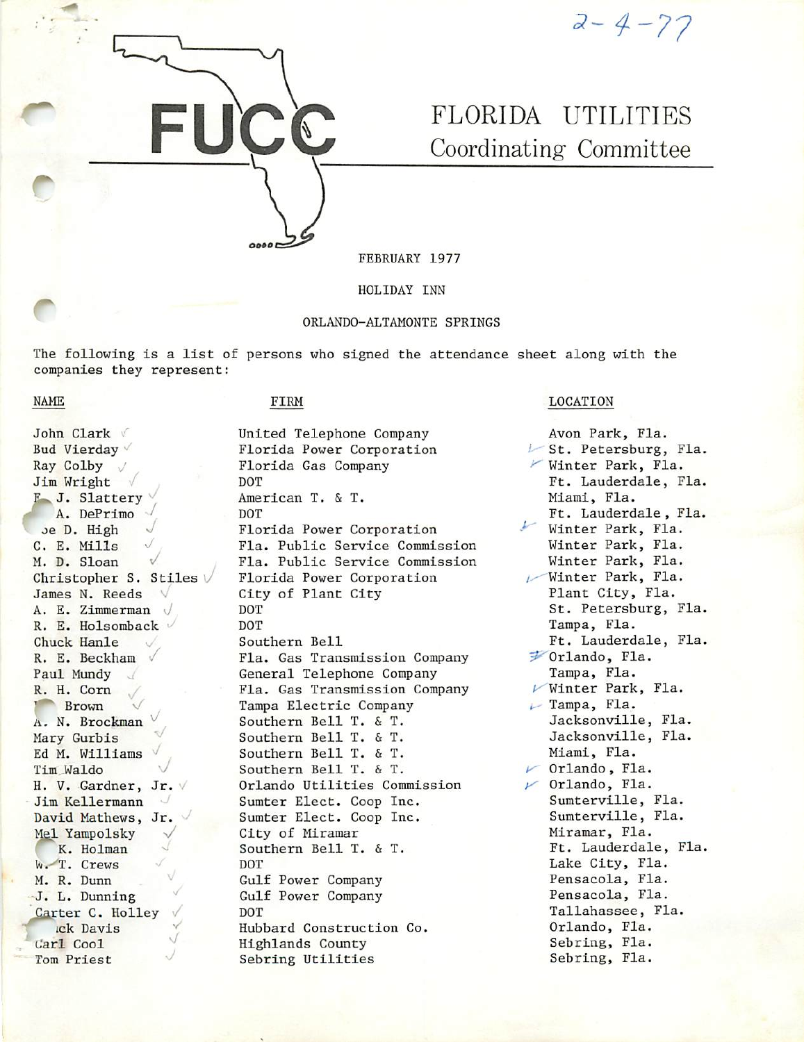

 $2 - 4 - 77$ 

# FLORIDA UTILITIES Coordinating Committee

FEBRUARY 1977

HOLIDAY INN

### ORLANDO-ALTAMONTE SPRINGS

The following is a list of persons who signed the attendance sheet along with the companies they represent:

NAME

John Clark V Bud Vierday ' Ray Colby Jim Wright F. J. Slattery A. DePrimo Je D. High C, E. Mills ^ M. D. Sloan Christopher S. Stiles  $\vee$ James N. Reeds  $\sqrt{ }$ A. E. Zimmerman R. E. Holsomback ^ Chuck Hanle R. E. Beckham / Paul Mundy R. H. Com **Brown** A. N. Brockman Mary Gurbis Ed M. Williams Tim Waldo H. V. Gardner, Jr. V Jim Kellermann David Mathews, Jr. Mel Yampolsky K. Holman W. T. Crews M. R. Dunn -J. L. Dunning Carter C. Holley ick Davis Carl Cool Tom Priest

#### FIRM

0000

United Telephone Company Florida Power Corporation Florida Gas Company DOT American T. & T. DOT Florida Power Corporation Fla. Public Service Commission Fla. Public Service Commission Florida Power Corporation City of Plant City DOT DOT Southern Bell Fla. Gas Transmission Company General Telephone Company Fla. Gas Transmission Company Tampa Electric Company Southern Bell T. & T. Southern Bell T. & T. Southern Bell T. & T. Southern Bell T. & T. Orlando Utilities Commission Sumter Elect. Coop Inc. Sumter Elect. Coop Inc. City of Miramar Southern Bell T. & T. DOT Gulf Power Company Gulf Power Company DOT Hubbard Construction Co. Highlands County Sebring Utilities

## LOCATION

Avon Park, Fla.  $\triangleright$  St. Petersburg, Fla. Winter Park, Fla. Ft. Lauderdale, Fla. Miami, Fla. Ft. Lauderdale, Fla. ' Winter Park, Fla. Winter Park, Fla. Winter Park, Fla.  $\sqrt{$  Winter Park, Fla. Plant City, Fla. St. Petersburg, Fla. Tampa, Fla. Ft. Lauderdale, Fla. ?■"Orlando, Fla. Tampa, Fla.  $\nu$ Winter Park, Fla.  $\overline{\phantom{a}}$  Tampa, Fla. Jacksonville, Fla. Jacksonville, Fla. Miami, Fla.  $\nu$  Orlando, Fla.  $\nu$  Orlando, Fla. Sumterville, Fla. Sumterville, Fla. Miramar, Fla. Ft. Lauderdale, Fla. Lake City, Fla. Pensacola, Fla. Pensacola, Fla. Tallahassee, Fla. Orlando, Fla. Sebring, Fla. Sebring, Fla.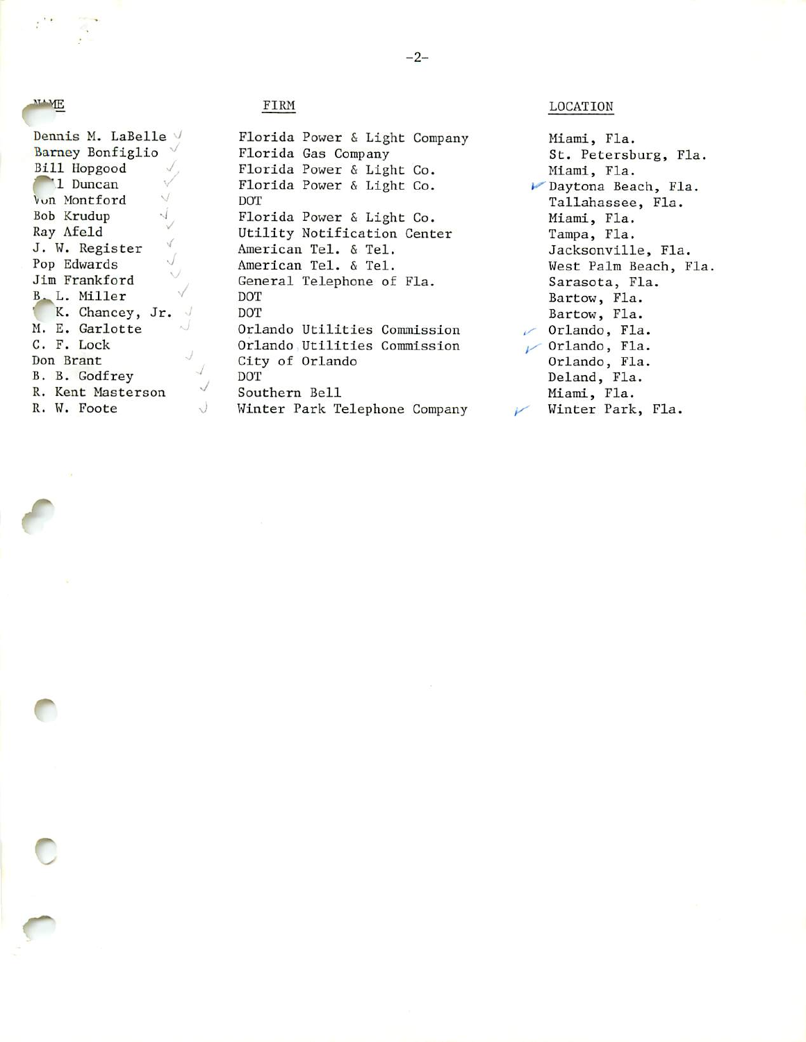#### **NAME**

**r** 

Dennis M. LaBelle V Barney Bonfiglio Bill Hopgood  $\sqrt{2}$ 1 Duncan š. / Vun Montford  $\overrightarrow{y}$ <br>Bob Krudup  $\overrightarrow{y}$ Bob Krudup ' Ray Afeld J. W. Register ' Pop Edwards Jim Frankford  $\sqrt{}$ B. L. Miller K. Chancey, Jr.  $\sqrt{ }$ M. E. Garlotte  $\vee$ C. F. Lock J Don Brant B. B. Godfrey R. Kent Hasterson R. W. Foote  $\cup$ 

 $\sqrt{ }$  $\sqrt{}$ 

# FIRM

Florida Power & Light Company Florida Gas Company Florida Power & Light Co. Florida Power & Light Co. DOT Florida Power & Light Co. Utility Notification Center American Tel. & Tel. American Tel. & Tel. General Telephone of Fla. DOT DOT Orlando Utilities Commission Orlando Utilities Commission City of Orlando DOT Southern Bell Winter Park Telephone Company

LOCATION

Miami, Fla. St. Petersburg, Fla. Miami, Fla. »-^Daytona Beach, Fla. Tallahassee, Fla. Miami, Fla. Tampa, Fla. Jacksonville, Fla. West Palm Beach, Fla, Sarasota, Fla. Bartow, Fla. Bartow, Fla.  $\sim$  Orlando, Fla.  $\nu$  Orlando, Fla. Orlando, Fla. Deland, Fla. Miami, Fla. Winter Park, Fla.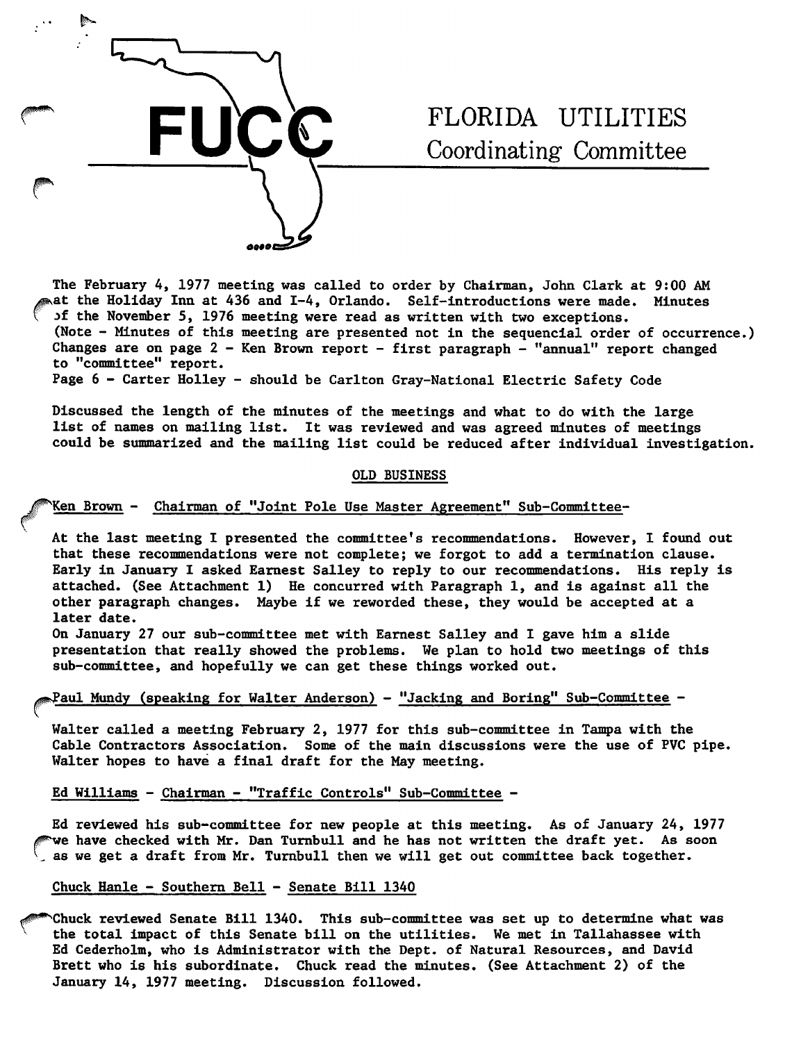

# FLORIDA UTILITIES Coordinating Committee

The February 4, 1977 meeting was called to order by Chairman, John Clark at 9:00 AM at the Holiday Inn at 436 and I-4, Orlando. Self-introductions were made. Minutes jf the November 5, 1976 meeting were read as written with two exceptions. (Note - Minutes of this meeting are presented not in the sequencial order of occurrence.) Changes are on page 2 - Ken Brown report - first paragraph - "annual" report changed to "committee" report.

Page 6 - Carter Holley - should be Carlton Gray-National Electric Safety Code

Discussed the length of the minutes of the meetings and what to do with the large list of names on mailing list. It was reviewed and was agreed minutes of meetings could be summarized and the mailing list could be reduced after Individual Investigation.

#### OLD BUSINESS

# Ken Brown - Chairman of "Joint Pole Use Master Agreement" Sub-Committee-

At the last meeting I presented the committee's recommendations. However, I found out that these recommendations were not complete; we forgot to add a termination clause. Early in January I asked Earnest Salley to reply to our recommendations. His reply is attached. (See Attachment 1) He concurred with Paragraph 1, and Is against all the other paragraph changes. Maybe If we reworded these, they would be accepted at a later date.

On January 27 our sub-committee met with Earnest Salley and I gave him a slide presentation that really showed the problems. We plan to hold two meetings of this sub-committee, and hopefully we can get these things worked out.

## Paul Mundy (speaking for Walter Anderson) - "Jacking and Boring" Sub-Committee -

Walter called a meeting February 2, 1977 for this sub-committee in Tampa with the Cable Contractors Association. Some of the main discussions were the use of PVC pipe. Walter hopes to have a final draft for the May meeting.

## Ed Williams - Chairman - "Traffic Controls" Sub-Committee -

Ed reviewed his sub-committee for new people at this meeting. As of January 24, 1977 ^e have checked with Mr. Dan Tumbull and he has not written the draft yet. As soon as we get a draft from Mr. Tumbull then we will get out committee back together.

#### Chuck Hanle - Southern Bell - Senate Bill 1340

Chuck reviewed Senate Bill 1340. This sub-committee was set up to determine what was the total Impact of this Senate bill on the utilities. We met In Tallahassee with Ed Cederholm, who Is Administrator with the Dept. of Natural Resources, and David Brett who Is his subordinate. Chuck read the minutes. (See Attachment 2) of the January 14, 1977 meeting. Discussion followed.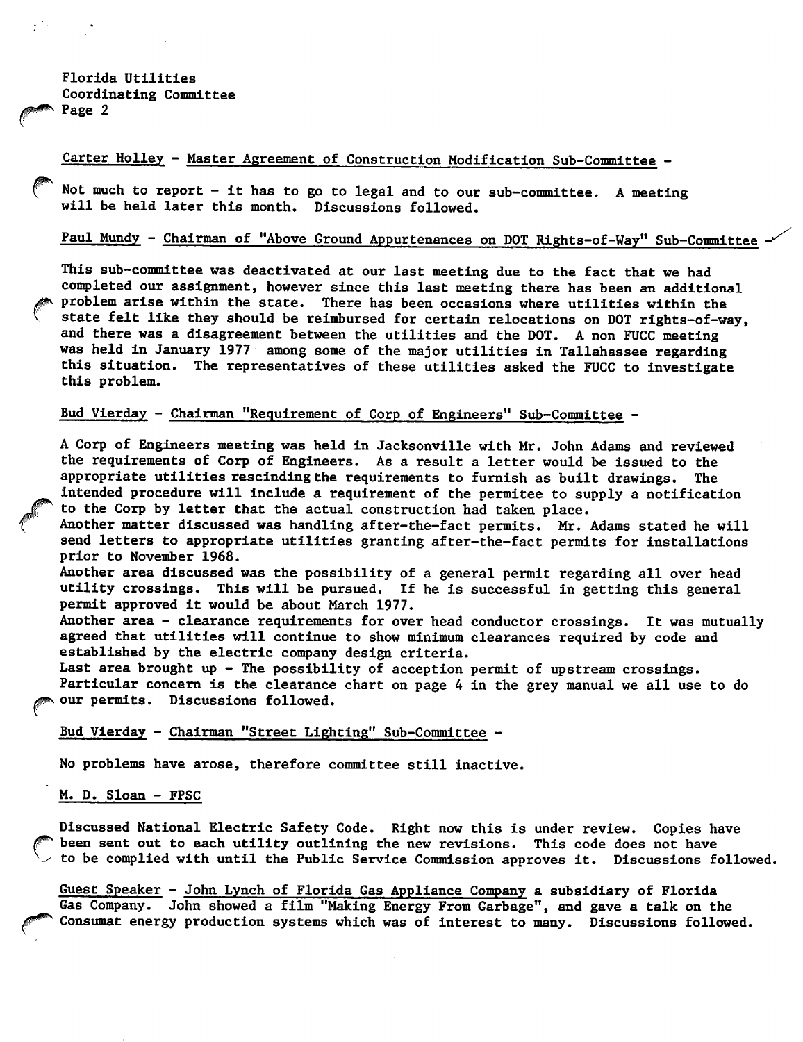Florida Utilities Coordinating Committee Page 2

## Carter Holley - Master Agreement of Construction Modification Sub-Committee -

Not much to report - it has to go to legal and to our sub-committee. A meeting will be held later this month. Discussions followed.

# Paul Mundy - Chairman of "Above Ground Appurtenances on DOT Rights-of-Way" Sub-Committee

This sub-committee was deactivated at our last meeting due to the fact that we had completed our assignment, however since this last meeting there has been an additional problem arise within the state. There has been occasions where utilities within the state felt like they should be reimbursed for certain relocations on DOT rights-of-way, and there was a disagreement between the utilities and the DOT. A non FUCC meeting was held in January 1977 among some of the major utilities in Tallahassee regarding this situation. The representatives of these utilities asked the FUCC to investigate this problem.

#### Bud Vierday - Chairman "Requirement of Corp of Engineers" Sub-Committee —

A Corp of Engineers meeting was held in Jacksonville with Mr. John Adams and reviewed the requirements of Corp of Engineers. As a result a letter would be issued to the appropriate utilities rescinding the requirements to furnish as built drawings. The intended procedure will include a requirement of the permitee to supply a notification to the Corp by letter that the actual construction had taken place.

Another matter discussed was handling after-the-fact permits. Mr. Adams stated he will send letters to appropriate utilities granting after-the-fact permits for installations prior to November 1968.

Another area discussed was the possibility of a general permit regarding all over head utility crossings. This will be pursued. If he is successful in getting this general permit approved it would be about March 1977.

Another area - clearance requirements for over head conductor crossings. It was mutually agreed that utilities will continue to show minimum clearances required by code and established by the electric company design criteria.

Last area brought up - The possibility of acception permit of upstream crossings. Particular concern is the clearance chart on page 4 in the grey manual we all use to do our permits. Discussions followed.

### Bud Vierday - Chairman "Street Lighting" Sub-Committee -

No problems have arose, therefore committee still inactive.

#### M. D. Sloan - FPSC

Discussed National Electric Safety Code. Right now this is under review. Copies have been sent out to each utility outlining the new revisions. This code does not have to be complied with until the Public Service Commission approves it. Discussions followed.

Guest Speaker - John Lynch of Florida Gas Appliance Company a subsidiary of Florida Gas Company. John showed a film "Making Energy From Garbage", and gave a talk on the Consumat energy production systems which was of interest to many. Discussions followed.